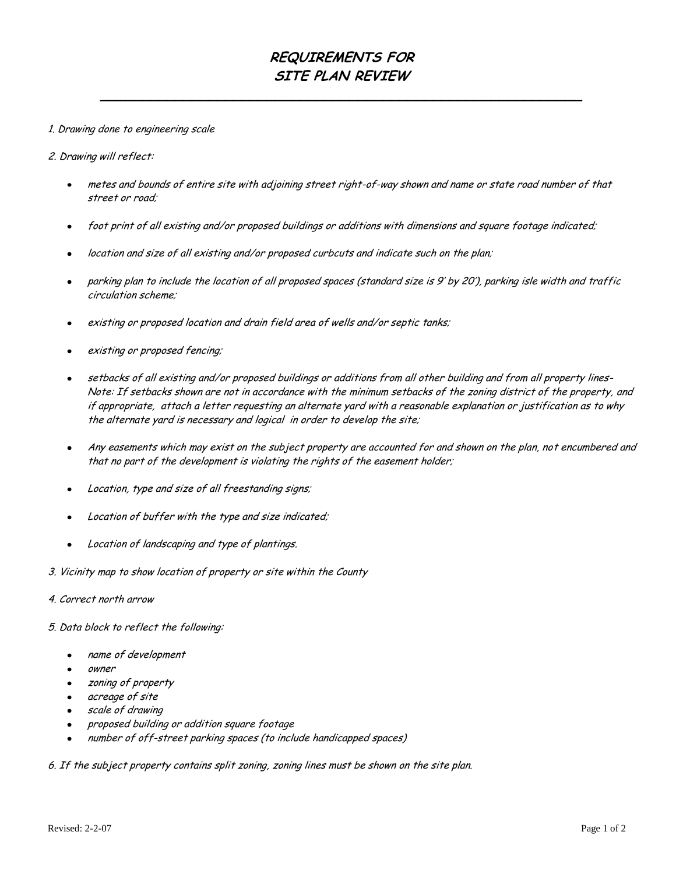## **REQUIREMENTS FOR SITE PLAN REVIEW**

**\_\_\_\_\_\_\_\_\_\_\_\_\_\_\_\_\_\_\_\_\_\_\_\_\_\_\_\_\_\_\_\_\_\_\_\_\_\_\_\_\_\_\_\_\_\_\_\_\_\_\_\_\_\_\_\_\_\_**

#### 1. Drawing done to engineering scale

#### 2. Drawing will reflect:

- metes and bounds of entire site with adjoining street right-of-way shown and name or state road number of that street or road;
- foot print of all existing and/or proposed buildings or additions with dimensions and square footage indicated;
- location and size of all existing and/or proposed curbcuts and indicate such on the plan;
- parking plan to include the location of all proposed spaces (standard size is 9' by 20'), parking isle width and traffic  $\bullet$ circulation scheme;
- existing or proposed location and drain field area of wells and/or septic tanks;
- existing or proposed fencing;
- setbacks of all existing and/or proposed buildings or additions from all other building and from all property lines- $\bullet$ Note: If setbacks shown are not in accordance with the minimum setbacks of the zoning district of the property, and if appropriate, attach a letter requesting an alternate yard with a reasonable explanation or justification as to why the alternate yard is necessary and logical in order to develop the site;
- Any easements which may exist on the subject property are accounted for and shown on the plan, not encumbered and  $\bullet$ that no part of the development is violating the rights of the easement holder;
- Location, type and size of all freestanding signs;
- Location of buffer with the type and size indicated;
- Location of landscaping and type of plantings.
- 3. Vicinity map to show location of property or site within the County

### 4. Correct north arrow

5. Data block to reflect the following:

- name of development
- owner
- zoning of property  $\bullet$
- acreage of site
- scale of drawing
- proposed building or addition square footage
- number of off-street parking spaces (to include handicapped spaces)

6. If the subject property contains split zoning, zoning lines must be shown on the site plan.